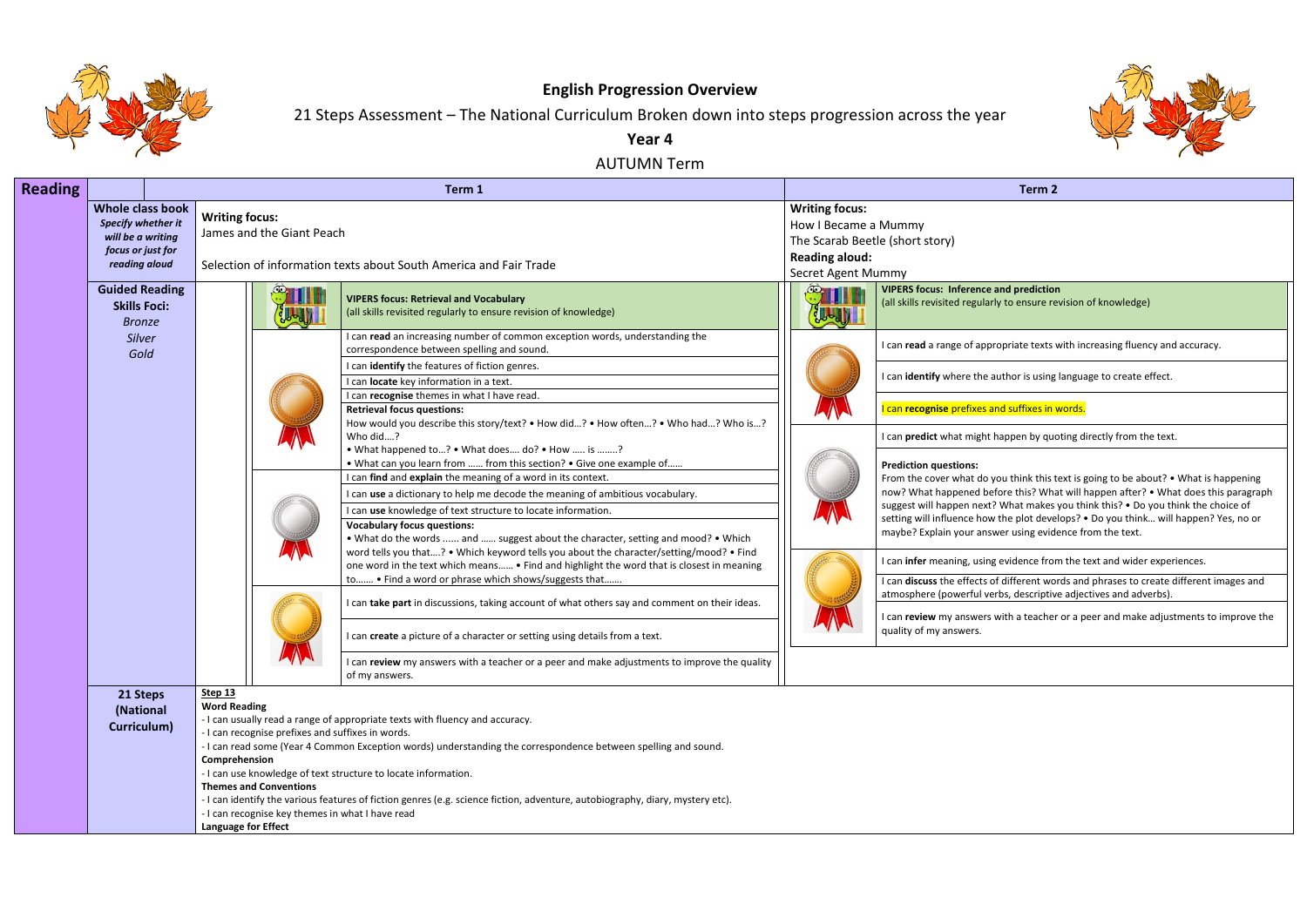

## **English Progression Overview**

# 21 Steps Assessment – The National Curriculum Broken down into steps progression across the year

**Year 4**

AUTUMN Term

| <b>Reading</b> |                                                                                                          |                                                                                                                                                                                                                                                                                      | Term 1                                                                                                                                                                                                                                                                                                                           |                                                                                              | Term <sub>2</sub>                                                                                                                                                                                           |
|----------------|----------------------------------------------------------------------------------------------------------|--------------------------------------------------------------------------------------------------------------------------------------------------------------------------------------------------------------------------------------------------------------------------------------|----------------------------------------------------------------------------------------------------------------------------------------------------------------------------------------------------------------------------------------------------------------------------------------------------------------------------------|----------------------------------------------------------------------------------------------|-------------------------------------------------------------------------------------------------------------------------------------------------------------------------------------------------------------|
|                | <b>Whole class book</b><br>Specify whether it<br>will be a writing<br>focus or just for<br>reading aloud | <b>Writing focus:</b><br>James and the Giant Peach                                                                                                                                                                                                                                   | Selection of information texts about South America and Fair Trade                                                                                                                                                                                                                                                                | <b>Writing focus:</b><br>How I Became a Mummy<br><b>Reading aloud:</b><br>Secret Agent Mummy | The Scarab Beetle (short story)                                                                                                                                                                             |
|                | <b>Guided Reading</b><br><b>Skills Foci:</b><br><b>Bronze</b>                                            |                                                                                                                                                                                                                                                                                      | <b>VIPERS focus: Retrieval and Vocabulary</b><br>(all skills revisited regularly to ensure revision of knowledge)                                                                                                                                                                                                                |                                                                                              | <b>VIPERS focus: Inference and prediction</b><br>(all skills revisited regularly to ensure re                                                                                                               |
|                | <b>Silver</b><br>Gold                                                                                    |                                                                                                                                                                                                                                                                                      | I can read an increasing number of common exception words, understanding the<br>correspondence between spelling and sound.                                                                                                                                                                                                       |                                                                                              | I can read a range of appropriate texts                                                                                                                                                                     |
|                |                                                                                                          |                                                                                                                                                                                                                                                                                      | I can identify the features of fiction genres.<br>I can locate key information in a text.<br>I can recognise themes in what I have read.                                                                                                                                                                                         |                                                                                              | I can identify where the author is using                                                                                                                                                                    |
|                |                                                                                                          |                                                                                                                                                                                                                                                                                      | Retrieval focus questions:<br>How would you describe this story/text? . How did? . How often? . Who had? Who is?                                                                                                                                                                                                                 |                                                                                              | I can recognise prefixes and suffixes in                                                                                                                                                                    |
|                |                                                                                                          |                                                                                                                                                                                                                                                                                      | Who did?<br>• What happened to? • What does do? • How  is ?<br>• What can you learn from  from this section? • Give one example of                                                                                                                                                                                               |                                                                                              | I can predict what might happen by quo<br><b>Prediction questions:</b>                                                                                                                                      |
|                |                                                                                                          |                                                                                                                                                                                                                                                                                      | I can find and explain the meaning of a word in its context.<br>I can use a dictionary to help me decode the meaning of ambitious vocabulary.<br>I can use knowledge of text structure to locate information.<br><b>Vocabulary focus questions:</b>                                                                              |                                                                                              | From the cover what do you think this t<br>now? What happened before this? Wha<br>suggest will happen next? What makes<br>setting will influence how the plot deve<br>maybe? Explain your answer using evid |
|                |                                                                                                          |                                                                                                                                                                                                                                                                                      | . What do the words  and  suggest about the character, setting and mood? . Which<br>word tells you that? • Which keyword tells you about the character/setting/mood? • Find<br>one word in the text which means • Find and highlight the word that is closest in meaning<br>to • Find a word or phrase which shows/suggests that |                                                                                              | I can infer meaning, using evidence fror<br>I can discuss the effects of different wo                                                                                                                       |
|                |                                                                                                          |                                                                                                                                                                                                                                                                                      | I can take part in discussions, taking account of what others say and comment on their ideas.                                                                                                                                                                                                                                    |                                                                                              | atmosphere (powerful verbs, descriptiv<br>I can review my answers with a teacher<br>quality of my answers.                                                                                                  |
|                |                                                                                                          |                                                                                                                                                                                                                                                                                      | I can create a picture of a character or setting using details from a text.<br>I can review my answers with a teacher or a peer and make adjustments to improve the quality<br>of my answers.                                                                                                                                    |                                                                                              |                                                                                                                                                                                                             |
|                | 21 Steps<br>(National<br>Curriculum)                                                                     | Step $13$<br><b>Word Reading</b><br>- I can recognise prefixes and suffixes in words.<br>Comprehension<br>- I can use knowledge of text structure to locate information.<br><b>Themes and Conventions</b><br>- I can recognise key themes in what I have read<br>Language for Effect | - I can usually read a range of appropriate texts with fluency and accuracy.<br>- I can read some (Year 4 Common Exception words) understanding the correspondence between spelling and sound.<br>- I can identify the various features of fiction genres (e.g. science fiction, adventure, autobiography, diary, mystery etc).  |                                                                                              |                                                                                                                                                                                                             |



**P** and prediction (arly to ensure revision of knowledge)

propriate texts with increasing fluency and accuracy.

I author is using language to create effect.

and suffixes in words.

It happen by quoting directly from the text.

 $\mathbf y$  you think this text is going to be about? • What is happening nefore this? What will happen after? • What does this paragraph st? What makes you think this? • Do you think the choice of w the plot develops? • Do you think... will happen? Yes, no or iswer using evidence from the text.

ng evidence from the text and wider experiences.

I cof different words and phrases to create different images and verbs, descriptive adjectives and adverbs).

rs with a teacher or a peer and make adjustments to improve the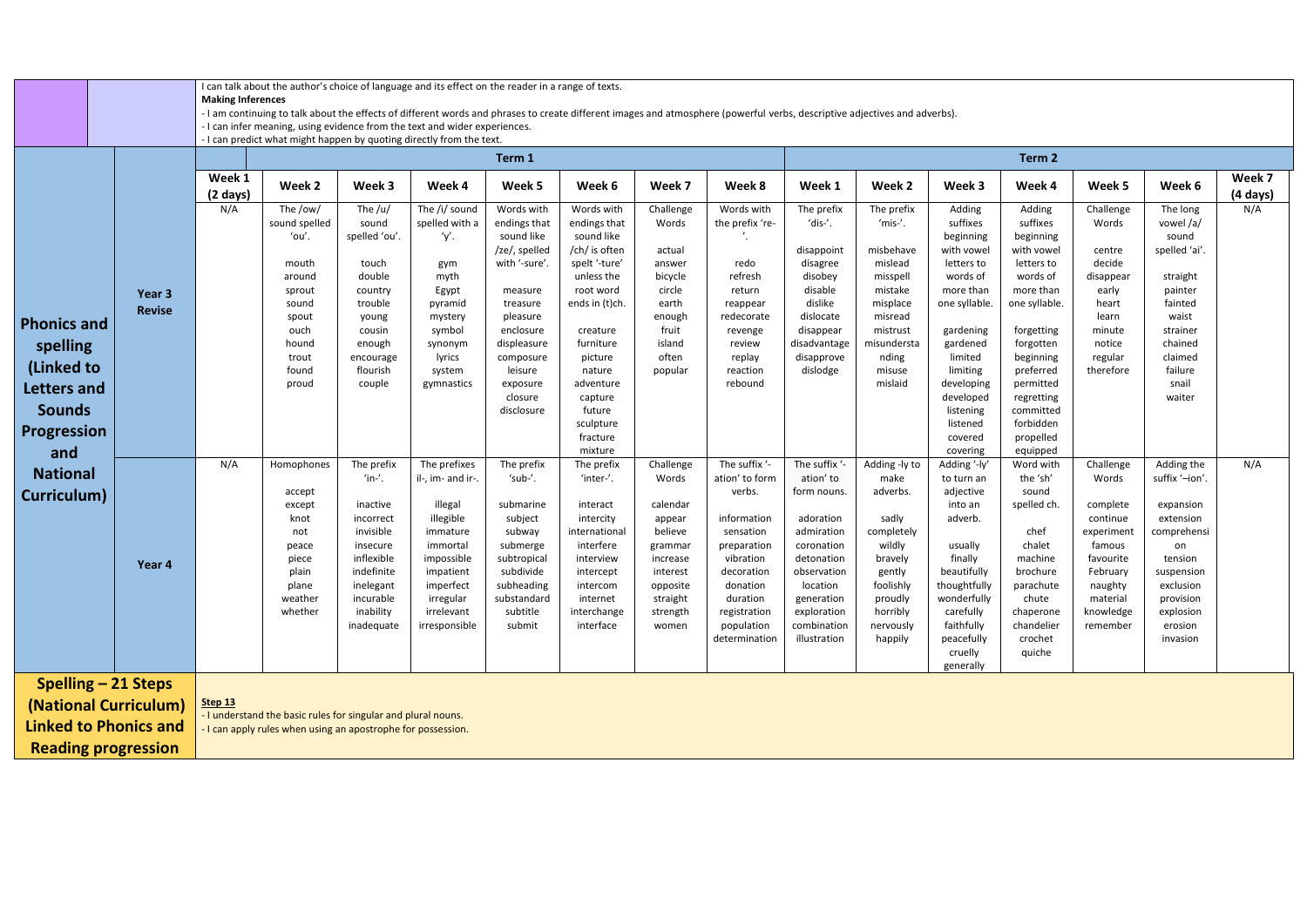I can talk about the author's choice of language and its effect on the reader in a range of texts.

**Making Inferences**

- I am continuing to talk about the effects of different words and phrases to create different images and atmosphere (powerful verbs, descriptive adjectives and adverbs).
- I can infer meaning, using evidence from the text and wider experiences.

|                                                     |                         |                              |                                                                       |                                                                                                       | - I can predict what might happen by quoting directly from the text                                  |                                                                                                    |                                                                                                          |                                                                                          |                                                                                                            |                                                                                                             |                                                                                        |                                                                                          |                                                                          |                                                                                               |                                                                                                |                    |
|-----------------------------------------------------|-------------------------|------------------------------|-----------------------------------------------------------------------|-------------------------------------------------------------------------------------------------------|------------------------------------------------------------------------------------------------------|----------------------------------------------------------------------------------------------------|----------------------------------------------------------------------------------------------------------|------------------------------------------------------------------------------------------|------------------------------------------------------------------------------------------------------------|-------------------------------------------------------------------------------------------------------------|----------------------------------------------------------------------------------------|------------------------------------------------------------------------------------------|--------------------------------------------------------------------------|-----------------------------------------------------------------------------------------------|------------------------------------------------------------------------------------------------|--------------------|
|                                                     |                         |                              |                                                                       |                                                                                                       |                                                                                                      | Term 1                                                                                             |                                                                                                          |                                                                                          |                                                                                                            |                                                                                                             |                                                                                        |                                                                                          | Term 2                                                                   |                                                                                               |                                                                                                |                    |
|                                                     |                         | Week 1<br>$(2 \text{ days})$ | Week 2                                                                | Week 3                                                                                                | Week 4                                                                                               | Week 5                                                                                             | Week 6                                                                                                   | Week 7                                                                                   | Week 8                                                                                                     | Week 1                                                                                                      | Week 2                                                                                 | Week 3                                                                                   | Week 4                                                                   | Week 5                                                                                        | Week 6                                                                                         | Week 7<br>(4 days) |
|                                                     |                         | N/A                          | The /ow/<br>sound spelled<br>'ou'.                                    | The $/u/$<br>sound<br>spelled 'ou'.                                                                   | The /i/ sound<br>spelled with a<br>′γ′.                                                              | Words with<br>endings that<br>sound like                                                           | Words with<br>endings that<br>sound like                                                                 | Challenge<br>Words                                                                       | Words with<br>the prefix 're-                                                                              | The prefix<br>'dis-'.                                                                                       | The prefix<br>'mis-'.                                                                  | Adding<br>suffixes<br>beginning                                                          | Adding<br>suffixes<br>beginning                                          | Challenge<br>Words                                                                            | The long<br>vowel/a/<br>sound                                                                  | N/A                |
|                                                     |                         |                              | mouth<br>around<br>sprout                                             | touch<br>double<br>country                                                                            | gym<br>myth<br>Egypt                                                                                 | /ze/, spelled<br>with '-sure'<br>measure                                                           | /ch/ is often<br>spelt '-ture'<br>unless the<br>root word                                                | actual<br>answer<br>bicycle<br>circle                                                    | redo<br>refresh<br>return                                                                                  | disappoint<br>disagree<br>disobey<br>disable                                                                | misbehave<br>mislead<br>misspell<br>mistake                                            | with vowel<br>letters to<br>words of<br>more than                                        | with vowel<br>letters to<br>words of<br>more than                        | centre<br>decide<br>disappear<br>early                                                        | spelled 'ai'.<br>straight<br>painter                                                           |                    |
| <b>Phonics and</b>                                  | Year 3<br><b>Revise</b> |                              | sound<br>spout<br>ouch                                                | trouble<br>young<br>cousin                                                                            | pyramid<br>mystery<br>symbol                                                                         | treasure<br>pleasure<br>enclosure                                                                  | ends in (t)ch.<br>creature                                                                               | earth<br>enough<br>fruit                                                                 | reappear<br>redecorate<br>revenge                                                                          | dislike<br>dislocate<br>disappear                                                                           | misplace<br>misread<br>mistrust                                                        | one syllable.<br>gardening                                                               | one syllable.<br>forgetting                                              | heart<br>learn<br>minute                                                                      | fainted<br>waist<br>strainer                                                                   |                    |
| spelling<br>(Linked to                              |                         |                              | hound<br>trout<br>found<br>proud                                      | enough<br>encourage<br>flourish<br>couple                                                             | synonym<br>lyrics<br>system<br>gymnastics                                                            | displeasure<br>composure<br>leisure<br>exposure                                                    | furniture<br>picture<br>nature<br>adventure                                                              | island<br>often<br>popular                                                               | review<br>replay<br>reaction<br>rebound                                                                    | disadvantage<br>disapprove<br>dislodge                                                                      | misundersta<br>nding<br>misuse<br>mislaid                                              | gardened<br>limited<br>limiting<br>developing                                            | forgotten<br>beginning<br>preferred<br>permitted                         | notice<br>regular<br>therefore                                                                | chained<br>claimed<br>failure<br>snail                                                         |                    |
| Letters and<br><b>Sounds</b><br><b>Progression</b>  |                         |                              |                                                                       |                                                                                                       |                                                                                                      | closure<br>disclosure                                                                              | capture<br>future<br>sculpture<br>fracture<br>mixture                                                    |                                                                                          |                                                                                                            |                                                                                                             |                                                                                        | developed<br>listening<br>listened<br>covered<br>covering                                | regretting<br>committed<br>forbidden<br>propelled<br>equipped            |                                                                                               | waiter                                                                                         |                    |
| and<br><b>National</b><br>Curriculum)               |                         | N/A                          | Homophones<br>accept<br>except                                        | The prefix<br>$'$ in- $'$ .<br>inactive                                                               | The prefixes<br>il-, im- and ir-.<br>illegal                                                         | The prefix<br>'sub-'.<br>submarine                                                                 | The prefix<br>'inter-'.<br>interact                                                                      | Challenge<br>Words<br>calendar                                                           | The suffix '-<br>ation' to form<br>verbs.                                                                  | The suffix '-<br>ation' to<br>form nouns.                                                                   | Adding -ly to<br>make<br>adverbs.                                                      | Adding '-ly'<br>to turn an<br>adjective<br>into an                                       | Word with<br>the 'sh'<br>sound<br>spelled ch.                            | Challenge<br>Words<br>complete                                                                | Adding the<br>suffix '-ion'.<br>expansion                                                      | N/A                |
|                                                     | Year 4                  |                              | knot<br>not<br>peace<br>piece<br>plain<br>plane<br>weather<br>whether | incorrect<br>invisible<br>insecure<br>inflexible<br>indefinite<br>inelegant<br>incurable<br>inability | illegible<br>immature<br>immortal<br>impossible<br>impatient<br>imperfect<br>irregular<br>irrelevant | subject<br>subway<br>submerge<br>subtropical<br>subdivide<br>subheading<br>substandard<br>subtitle | intercity<br>international<br>interfere<br>interview<br>intercept<br>intercom<br>internet<br>interchange | appear<br>believe<br>grammar<br>increase<br>interest<br>opposite<br>straight<br>strength | information<br>sensation<br>preparation<br>vibration<br>decoration<br>donation<br>duration<br>registration | adoration<br>admiration<br>coronation<br>detonation<br>observation<br>location<br>generation<br>exploration | sadly<br>completely<br>wildly<br>bravely<br>gently<br>foolishly<br>proudly<br>horribly | adverb.<br>usually<br>finally<br>beautifully<br>thoughtfully<br>wonderfully<br>carefully | chef<br>chalet<br>machine<br>brochure<br>parachute<br>chute<br>chaperone | continue<br>experiment<br>famous<br>favourite<br>February<br>naughty<br>material<br>knowledge | extension<br>comprehensi<br>on<br>tension<br>suspension<br>exclusion<br>provision<br>explosion |                    |
|                                                     |                         |                              |                                                                       | inadequate                                                                                            | irresponsible                                                                                        | submit                                                                                             | interface                                                                                                | women                                                                                    | population<br>determination                                                                                | combination<br>illustration                                                                                 | nervously<br>happily                                                                   | faithfully<br>peacefully<br>cruelly<br>generally                                         | chandelier<br>crochet<br>quiche                                          | remember                                                                                      | erosion<br>invasion                                                                            |                    |
| <b>Spelling - 21 Steps</b><br>(National Curriculum) |                         | Step 13                      | - I understand the basic rules for singular and plural nouns.         |                                                                                                       |                                                                                                      |                                                                                                    |                                                                                                          |                                                                                          |                                                                                                            |                                                                                                             |                                                                                        |                                                                                          |                                                                          |                                                                                               |                                                                                                |                    |

**Linked to Phonics and Reading progression**

- I can apply rules when using an apostrophe for possession.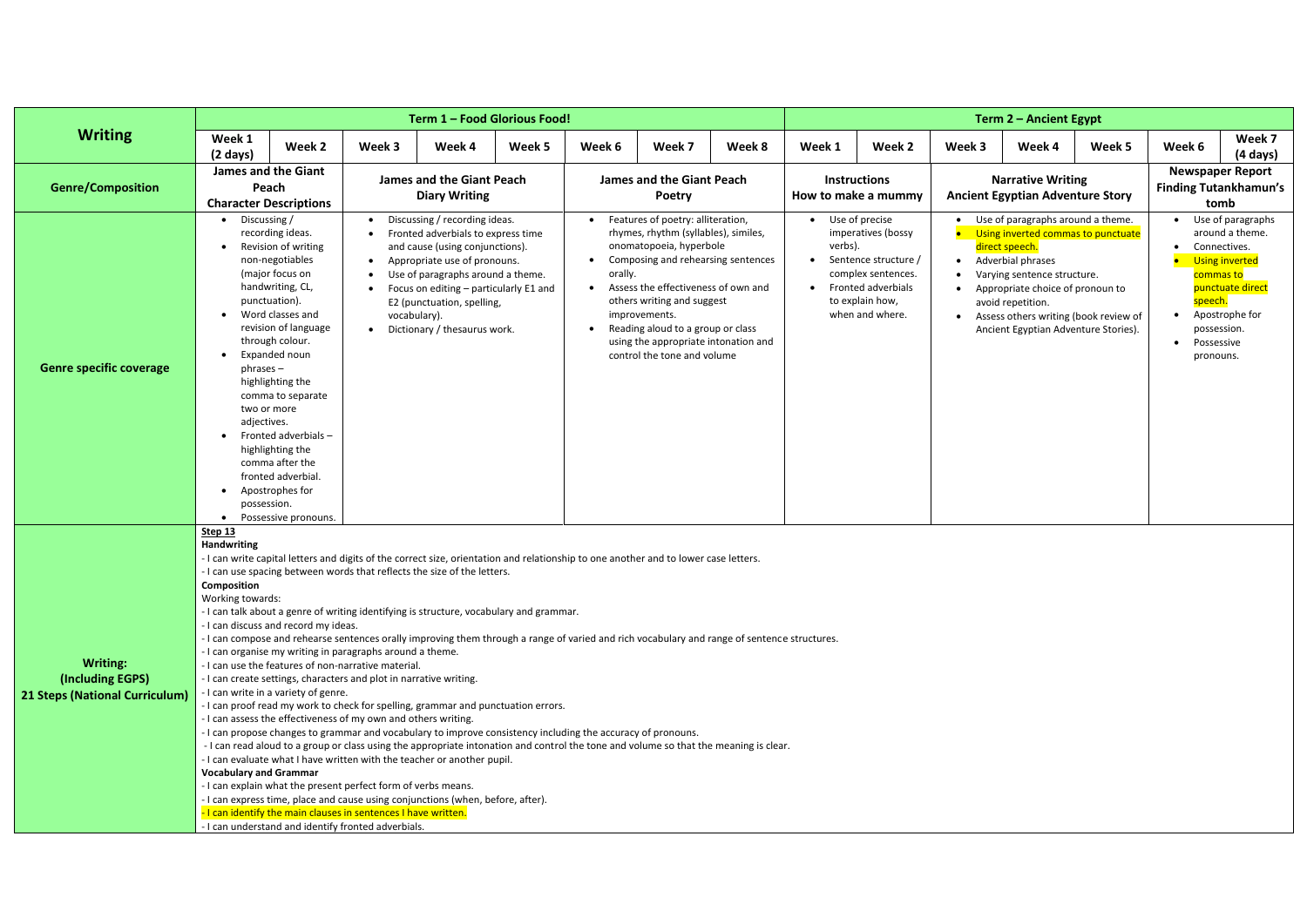|                                                                              |                                                                                                                                                                                                                                                                                                                                                                                                                                                                                                                                                                                                                                                                                                                                                                                                                                                                                                                                                                                                                                                                                                                                                                                                                                                                                                                                                                                                                                                                                                                                                      |                                                                                                                                                                                                                                                                                                                                                                                                                                                                                                                                                                                                                                                                                                                                                                                                                                                                                                                                                                                                                                                                                                                                                                                                                                                                                                                                                                                                                                                                                                                                                                                                                          |        | Term 1 - Food Glorious Food!                             |        |        |                                                   |        |        |                                            |                                                                   | Term 2 – Ancient Egypt                                                                                    |        |                         |                                      |
|------------------------------------------------------------------------------|------------------------------------------------------------------------------------------------------------------------------------------------------------------------------------------------------------------------------------------------------------------------------------------------------------------------------------------------------------------------------------------------------------------------------------------------------------------------------------------------------------------------------------------------------------------------------------------------------------------------------------------------------------------------------------------------------------------------------------------------------------------------------------------------------------------------------------------------------------------------------------------------------------------------------------------------------------------------------------------------------------------------------------------------------------------------------------------------------------------------------------------------------------------------------------------------------------------------------------------------------------------------------------------------------------------------------------------------------------------------------------------------------------------------------------------------------------------------------------------------------------------------------------------------------|--------------------------------------------------------------------------------------------------------------------------------------------------------------------------------------------------------------------------------------------------------------------------------------------------------------------------------------------------------------------------------------------------------------------------------------------------------------------------------------------------------------------------------------------------------------------------------------------------------------------------------------------------------------------------------------------------------------------------------------------------------------------------------------------------------------------------------------------------------------------------------------------------------------------------------------------------------------------------------------------------------------------------------------------------------------------------------------------------------------------------------------------------------------------------------------------------------------------------------------------------------------------------------------------------------------------------------------------------------------------------------------------------------------------------------------------------------------------------------------------------------------------------------------------------------------------------------------------------------------------------|--------|----------------------------------------------------------|--------|--------|---------------------------------------------------|--------|--------|--------------------------------------------|-------------------------------------------------------------------|-----------------------------------------------------------------------------------------------------------|--------|-------------------------|--------------------------------------|
| <b>Writing</b>                                                               | Week 1<br>$(2 \text{ days})$                                                                                                                                                                                                                                                                                                                                                                                                                                                                                                                                                                                                                                                                                                                                                                                                                                                                                                                                                                                                                                                                                                                                                                                                                                                                                                                                                                                                                                                                                                                         | Week 2                                                                                                                                                                                                                                                                                                                                                                                                                                                                                                                                                                                                                                                                                                                                                                                                                                                                                                                                                                                                                                                                                                                                                                                                                                                                                                                                                                                                                                                                                                                                                                                                                   | Week 3 | Week 4                                                   | Week 5 | Week 6 | Week 7                                            | Week 8 | Week 1 | Week 2                                     | Week 3                                                            | Week 4                                                                                                    | Week 5 | Week 6                  | Week 7<br>$(4 \text{ days})$         |
| <b>Genre/Composition</b>                                                     | <b>James and the Giant</b><br>Peach<br><b>Character Descriptions</b>                                                                                                                                                                                                                                                                                                                                                                                                                                                                                                                                                                                                                                                                                                                                                                                                                                                                                                                                                                                                                                                                                                                                                                                                                                                                                                                                                                                                                                                                                 |                                                                                                                                                                                                                                                                                                                                                                                                                                                                                                                                                                                                                                                                                                                                                                                                                                                                                                                                                                                                                                                                                                                                                                                                                                                                                                                                                                                                                                                                                                                                                                                                                          |        | <b>James and the Giant Peach</b><br><b>Diary Writing</b> |        |        | <b>James and the Giant Peach</b><br><b>Poetry</b> |        |        | <b>Instructions</b><br>How to make a mummy |                                                                   | <b>Narrative Writing</b><br><b>Ancient Egyptian Adventure Story</b>                                       |        | <b>Newspaper Report</b> | <b>Finding Tutankhamun's</b><br>tomb |
| <b>Genre specific coverage</b>                                               | Discussing /<br>$\bullet$                                                                                                                                                                                                                                                                                                                                                                                                                                                                                                                                                                                                                                                                                                                                                                                                                                                                                                                                                                                                                                                                                                                                                                                                                                                                                                                                                                                                                                                                                                                            | Discussing / recording ideas.<br>Features of poetry: alliteration,<br>• Use of precise<br>Use of paragraphs around a theme.<br>recording ideas.<br>rhymes, rhythm (syllables), similes,<br>imperatives (bossy<br>Using inverted commas to punctuate<br>Fronted adverbials to express time<br>Revision of writing<br>onomatopoeia, hyperbole<br>verbs).<br>and cause (using conjunctions).<br>direct speech.<br>non-negotiables<br>Appropriate use of pronouns.<br>Composing and rehearsing sentences<br>Adverbial phrases<br>Sentence structure /<br>$\bullet$<br>$\bullet$<br>$\bullet$<br>(major focus on<br>orally.<br>complex sentences.<br>Use of paragraphs around a theme.<br>Varying sentence structure.<br>handwriting, CL,<br>Assess the effectiveness of own and<br>• Fronted adverbials<br>Focus on editing - particularly E1 and<br>$\bullet$<br>Appropriate choice of pronoun to<br>punctuation).<br>to explain how,<br>others writing and suggest<br>E2 (punctuation, spelling,<br>avoid repetition.<br>Word classes and<br>when and where.<br>improvements.<br>vocabulary).<br>Assess others writing (book review of<br>revision of language<br>Reading aloud to a group or class<br>Dictionary / thesaurus work.<br>Ancient Egyptian Adventure Stories).<br>through colour.<br>using the appropriate intonation and<br>Expanded noun<br>control the tone and volume<br>$phrases -$<br>highlighting the<br>comma to separate<br>two or more<br>adjectives.<br>Fronted adverbials-<br>highlighting the<br>comma after the<br>fronted adverbial.<br>Apostrophes for<br>possession.<br>Possessive pronouns. |        |                                                          |        |        |                                                   |        |        |                                            | Connectives.<br>speech.<br>possession.<br>Possessive<br>pronouns. | Use of paragraphs<br>around a theme.<br>Using inverted<br>commas to<br>punctuate direct<br>Apostrophe for |        |                         |                                      |
| <b>Writing:</b><br>(Including EGPS)<br><b>21 Steps (National Curriculum)</b> | Step 13<br>Handwriting<br>- I can write capital letters and digits of the correct size, orientation and relationship to one another and to lower case letters.<br>- I can use spacing between words that reflects the size of the letters.<br>Composition<br>Working towards:<br>- I can talk about a genre of writing identifying is structure, vocabulary and grammar.<br>- I can discuss and record my ideas.<br>- I can compose and rehearse sentences orally improving them through a range of varied and rich vocabulary and range of sentence structures.<br>- I can organise my writing in paragraphs around a theme.<br>- I can use the features of non-narrative material.<br>- I can create settings, characters and plot in narrative writing.<br>- I can write in a variety of genre.<br>- I can proof read my work to check for spelling, grammar and punctuation errors.<br>- I can assess the effectiveness of my own and others writing.<br>- I can propose changes to grammar and vocabulary to improve consistency including the accuracy of pronouns.<br>- I can read aloud to a group or class using the appropriate intonation and control the tone and volume so that the meaning is clear.<br>- I can evaluate what I have written with the teacher or another pupil.<br><b>Vocabulary and Grammar</b><br>- I can explain what the present perfect form of verbs means.<br>- I can express time, place and cause using conjunctions (when, before, after).<br>- I can identify the main clauses in sentences I have written. |                                                                                                                                                                                                                                                                                                                                                                                                                                                                                                                                                                                                                                                                                                                                                                                                                                                                                                                                                                                                                                                                                                                                                                                                                                                                                                                                                                                                                                                                                                                                                                                                                          |        |                                                          |        |        |                                                   |        |        |                                            |                                                                   |                                                                                                           |        |                         |                                      |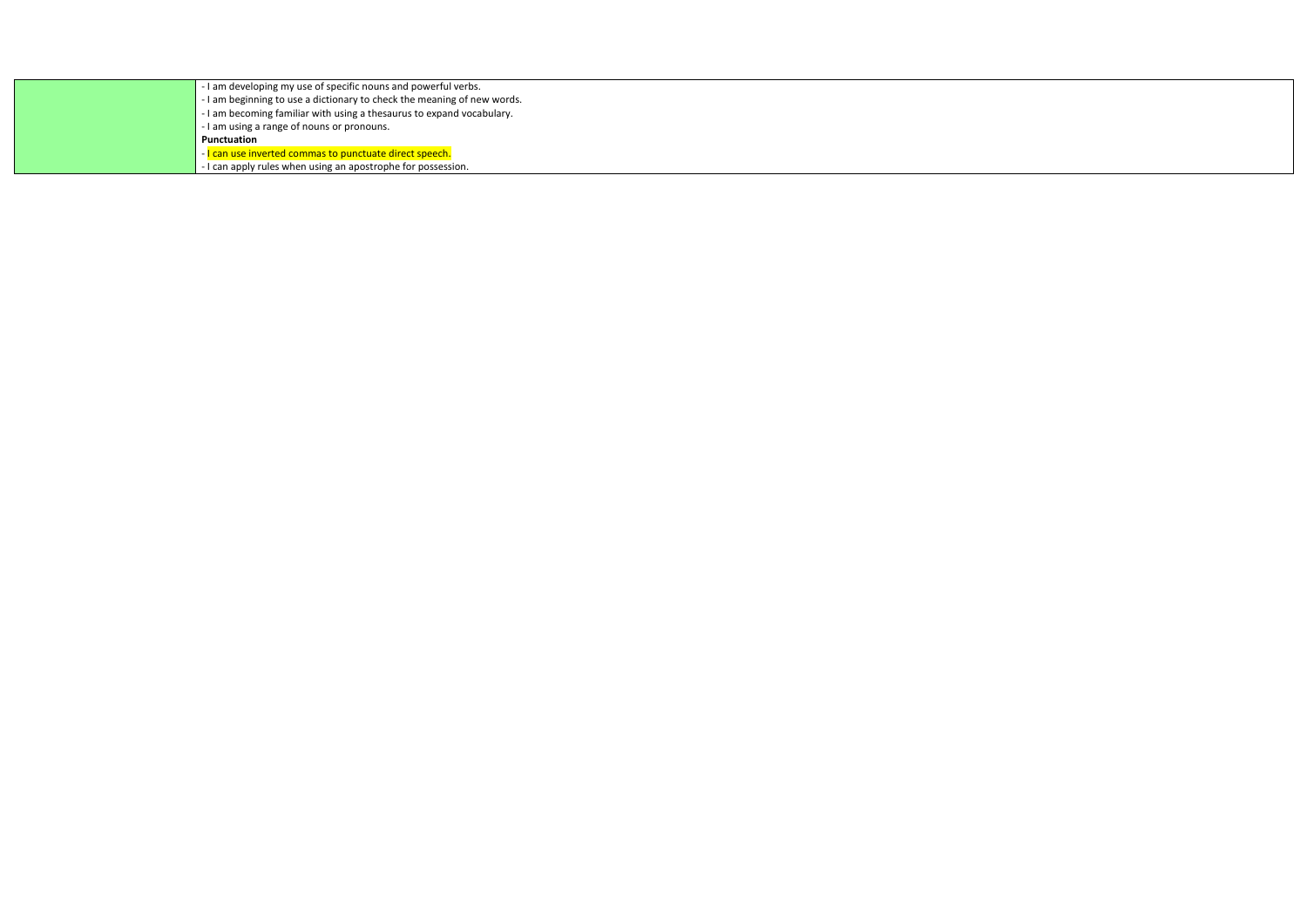| - I am developing my use of specific nouns and powerful verbs.          |
|-------------------------------------------------------------------------|
| - I am beginning to use a dictionary to check the meaning of new words. |
| - I am becoming familiar with using a thesaurus to expand vocabulary.   |
| - I am using a range of nouns or pronouns.                              |
| Punctuation                                                             |
| - I can use inverted commas to punctuate direct speech.                 |
| - I can apply rules when using an apostrophe for possession.            |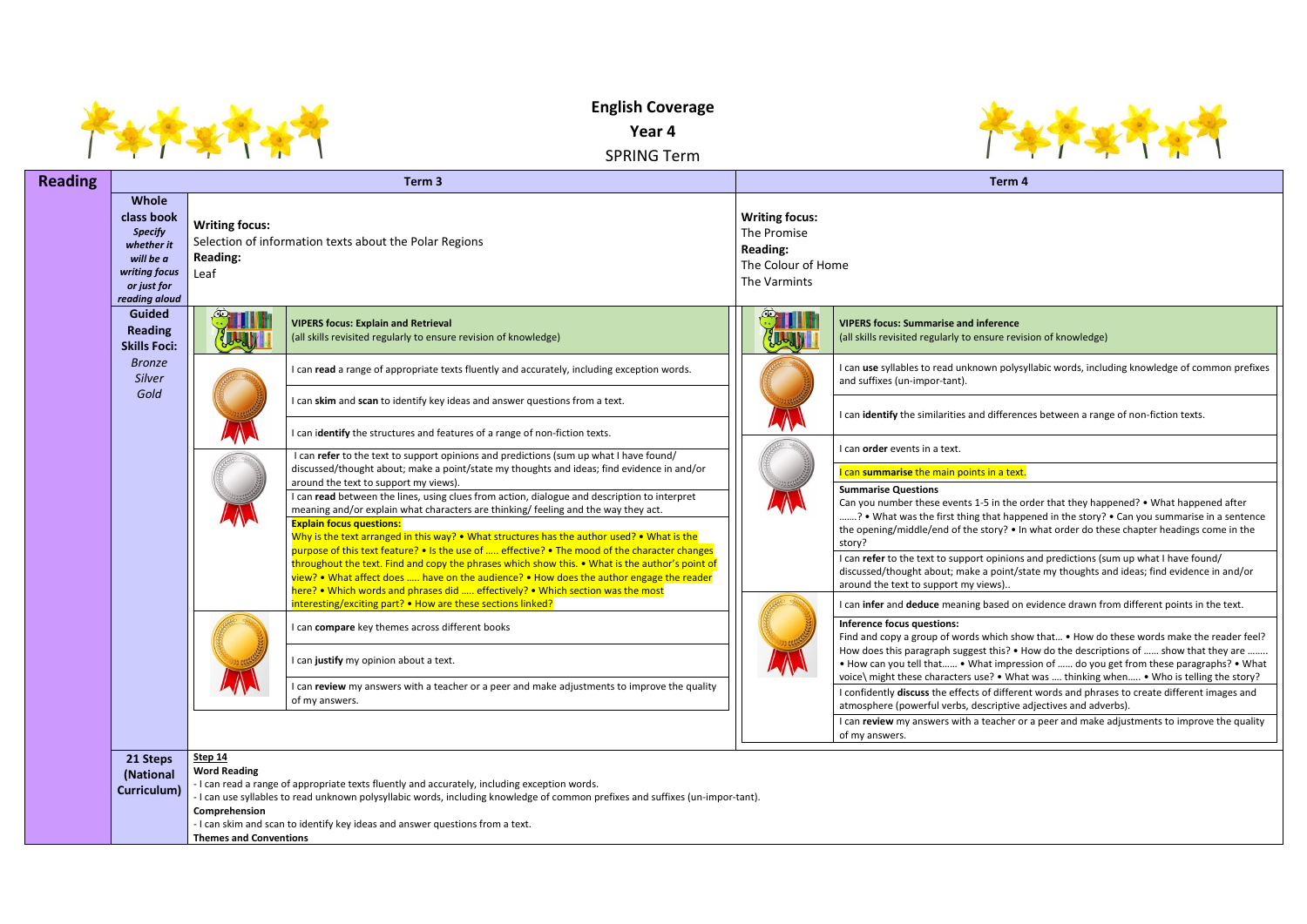|                |                                                                                                                          |                                                                                         | <b>English Coverage</b><br>Year 4<br><b>SPRING Term</b>                                                                                                                                                                                                                                                                                                                                                              |                                                                                               |                                                                                                                                                                           |
|----------------|--------------------------------------------------------------------------------------------------------------------------|-----------------------------------------------------------------------------------------|----------------------------------------------------------------------------------------------------------------------------------------------------------------------------------------------------------------------------------------------------------------------------------------------------------------------------------------------------------------------------------------------------------------------|-----------------------------------------------------------------------------------------------|---------------------------------------------------------------------------------------------------------------------------------------------------------------------------|
| <b>Reading</b> |                                                                                                                          |                                                                                         | Term <sub>3</sub>                                                                                                                                                                                                                                                                                                                                                                                                    |                                                                                               | Term 4                                                                                                                                                                    |
|                | <b>Whole</b><br>class book<br><b>Specify</b><br>whether it<br>will be a<br>writing focus<br>or just for<br>reading aloud | <b>Writing focus:</b><br><b>Reading:</b><br>Leaf                                        | Selection of information texts about the Polar Regions                                                                                                                                                                                                                                                                                                                                                               | <b>Writing focus:</b><br>The Promise<br><b>Reading:</b><br>The Colour of Home<br>The Varmints |                                                                                                                                                                           |
|                | <b>Guided</b><br><b>Reading</b><br><b>Skills Foci:</b>                                                                   |                                                                                         | <b>VIPERS focus: Explain and Retrieval</b><br>(all skills revisited regularly to ensure revision of knowledge)                                                                                                                                                                                                                                                                                                       |                                                                                               | <b>VIPERS focus: Summarise and inference</b><br>(all skills revisited regularly to ensure revis                                                                           |
|                | <b>Bronze</b><br>Silver                                                                                                  |                                                                                         | I can read a range of appropriate texts fluently and accurately, including exception words.                                                                                                                                                                                                                                                                                                                          |                                                                                               | I can use syllables to read unknown polysy<br>and suffixes (un-impor-tant).                                                                                               |
|                | Gold                                                                                                                     |                                                                                         | I can skim and scan to identify key ideas and answer questions from a text.<br>I can identify the structures and features of a range of non-fiction texts.                                                                                                                                                                                                                                                           |                                                                                               | I can identify the similarities and differenc                                                                                                                             |
|                |                                                                                                                          |                                                                                         | I can refer to the text to support opinions and predictions (sum up what I have found/                                                                                                                                                                                                                                                                                                                               |                                                                                               | I can order events in a text.                                                                                                                                             |
|                |                                                                                                                          |                                                                                         | discussed/thought about; make a point/state my thoughts and ideas; find evidence in and/or<br>around the text to support my views).                                                                                                                                                                                                                                                                                  |                                                                                               | I can summarise the main points in a text.                                                                                                                                |
|                |                                                                                                                          |                                                                                         | I can read between the lines, using clues from action, dialogue and description to interpret<br>meaning and/or explain what characters are thinking/ feeling and the way they act.<br><b>Explain focus questions:</b><br>Why is the text arranged in this way? • What structures has the author used? • What is the<br>purpose of this text feature? • Is the use of  effective? • The mood of the character changes |                                                                                               | <b>Summarise Questions</b><br>Can you number these events 1-5 in the of<br>? • What was the first thing that happe<br>the opening/middle/end of the story? • In<br>story? |
|                |                                                                                                                          |                                                                                         | throughout the text. Find and copy the phrases which show this. • What is the author's point of<br>view? • What affect does  have on the audience? • How does the author engage the reader<br>here? • Which words and phrases did  effectively? • Which section was the most                                                                                                                                         |                                                                                               | I can refer to the text to support opinions<br>discussed/thought about; make a point/st<br>around the text to support my views)                                           |
|                |                                                                                                                          |                                                                                         | interesting/exciting part? • How are these sections linked?                                                                                                                                                                                                                                                                                                                                                          |                                                                                               | I can infer and deduce meaning based on                                                                                                                                   |
|                |                                                                                                                          |                                                                                         | can compare key themes across different books<br>I can justify my opinion about a text.                                                                                                                                                                                                                                                                                                                              |                                                                                               | Inference focus questions:<br>Find and copy a group of words which sho<br>How does this paragraph suggest this? • H<br>. How can you tell that . What impress             |
|                |                                                                                                                          |                                                                                         | can review my answers with a teacher or a peer and make adjustments to improve the quality<br>of my answers.                                                                                                                                                                                                                                                                                                         |                                                                                               | voice\ might these characters use? . What<br>I confidently discuss the effects of differer<br>atmosphere (powerful verbs, descriptive a                                   |
|                |                                                                                                                          |                                                                                         |                                                                                                                                                                                                                                                                                                                                                                                                                      |                                                                                               | I can review my answers with a teacher or<br>of my answers.                                                                                                               |
|                | 21 Steps<br>(National<br>Curriculum)                                                                                     | <b>Step 14</b><br><b>Word Reading</b><br>Comprehension<br><b>Themes and Conventions</b> | - I can read a range of appropriate texts fluently and accurately, including exception words.<br>- I can use syllables to read unknown polysyllabic words, including knowledge of common prefixes and suffixes (un-impor-tant).<br>- I can skim and scan to identify key ideas and answer questions from a text.                                                                                                     |                                                                                               |                                                                                                                                                                           |



erence (are revision of knowledge)

**I** polysyllabic words, including knowledge of common prefixes

differences between a range of non-fiction texts.

### <u>in a text.</u>

 $\overline{\sigma}$  in the order that they happened? • What happened after hat happened in the story? • Can you summarise in a sentence tory? • In what order do these chapter headings come in the

I can in opinions and predictions (sum up what I have found/ point/state my thoughts and ideas; find evidence in and/or ...<br>ews)..

ased on evidence drawn from different points in the text.

hich show that... • How do these words make the reader feel? this? • How do the descriptions of …… show that they are …….. If impression of …… do you get from these paragraphs? • What P. • What was .... thinking when….. • Who is telling the story? different words and phrases to create different images and criptive adjectives and adverbs).

racher or a peer and make adjustments to improve the quality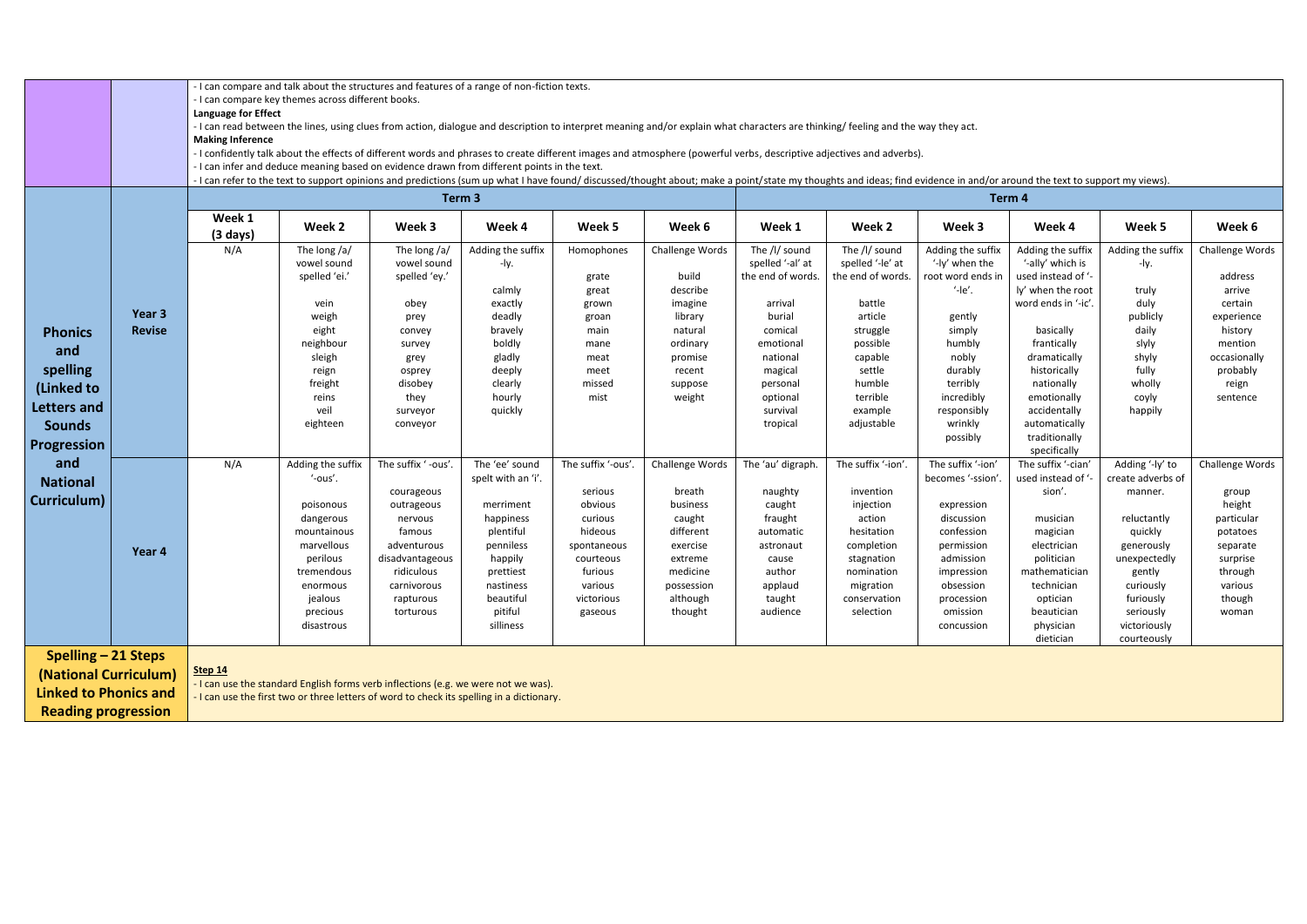|                                                                                                                   |                         | <b>Language for Effect</b><br><b>Making Inference</b>                                                                                                                                                                                                                                                                                                                                                                                                                                             | - I can compare and talk about the structures and features of a range of non-fiction texts.<br>- I can compare key themes across different books.<br>- I can read between the lines, using clues from action, dialogue and description to interpret meaning and/or explain what characters are thinking/ feeling and the way they act. |                                                                                                                                                              |                                                                                                                                                                    |                                                                                                                                          |                                                                                                                                      |                                                                                                                                 |                                                                                                                                                          |                                                                                                                                                                                |                                                                                                                                                                                            |                                                                                                                                                                                         |                                                                                                                               |
|-------------------------------------------------------------------------------------------------------------------|-------------------------|---------------------------------------------------------------------------------------------------------------------------------------------------------------------------------------------------------------------------------------------------------------------------------------------------------------------------------------------------------------------------------------------------------------------------------------------------------------------------------------------------|----------------------------------------------------------------------------------------------------------------------------------------------------------------------------------------------------------------------------------------------------------------------------------------------------------------------------------------|--------------------------------------------------------------------------------------------------------------------------------------------------------------|--------------------------------------------------------------------------------------------------------------------------------------------------------------------|------------------------------------------------------------------------------------------------------------------------------------------|--------------------------------------------------------------------------------------------------------------------------------------|---------------------------------------------------------------------------------------------------------------------------------|----------------------------------------------------------------------------------------------------------------------------------------------------------|--------------------------------------------------------------------------------------------------------------------------------------------------------------------------------|--------------------------------------------------------------------------------------------------------------------------------------------------------------------------------------------|-----------------------------------------------------------------------------------------------------------------------------------------------------------------------------------------|-------------------------------------------------------------------------------------------------------------------------------|
|                                                                                                                   |                         | - I confidently talk about the effects of different words and phrases to create different images and atmosphere (powerful verbs, descriptive adjectives and adverbs).<br>- I can infer and deduce meaning based on evidence drawn from different points in the text.<br>- I can refer to the text to support opinions and predictions (sum up what I have found/ discussed/thought about; make a point/state my thoughts and ideas; find evidence in and/or around the text to support my views). |                                                                                                                                                                                                                                                                                                                                        |                                                                                                                                                              |                                                                                                                                                                    |                                                                                                                                          |                                                                                                                                      |                                                                                                                                 |                                                                                                                                                          |                                                                                                                                                                                |                                                                                                                                                                                            |                                                                                                                                                                                         |                                                                                                                               |
|                                                                                                                   |                         |                                                                                                                                                                                                                                                                                                                                                                                                                                                                                                   |                                                                                                                                                                                                                                                                                                                                        |                                                                                                                                                              | Term <sub>3</sub>                                                                                                                                                  |                                                                                                                                          |                                                                                                                                      |                                                                                                                                 |                                                                                                                                                          |                                                                                                                                                                                | Term 4                                                                                                                                                                                     |                                                                                                                                                                                         |                                                                                                                               |
|                                                                                                                   |                         | Week 1<br>$(3 \text{ days})$                                                                                                                                                                                                                                                                                                                                                                                                                                                                      | Week 2                                                                                                                                                                                                                                                                                                                                 | Week 3                                                                                                                                                       | Week 4                                                                                                                                                             | Week 5                                                                                                                                   | Week 6                                                                                                                               | Week 1                                                                                                                          | Week 2                                                                                                                                                   | Week 3                                                                                                                                                                         | Week 4                                                                                                                                                                                     | Week 5                                                                                                                                                                                  | Week 6                                                                                                                        |
|                                                                                                                   |                         | N/A                                                                                                                                                                                                                                                                                                                                                                                                                                                                                               | The long /a/<br>vowel sound<br>spelled 'ei.'                                                                                                                                                                                                                                                                                           | The long /a/<br>vowel sound<br>spelled 'ey.'                                                                                                                 | Adding the suffix<br>-ly.<br>calmly                                                                                                                                | Homophones<br>grate<br>great                                                                                                             | Challenge Words<br>build<br>describe                                                                                                 | The /l/ sound<br>spelled '-al' at<br>the end of words.                                                                          | The /l/ sound<br>spelled '-le' at<br>the end of words.                                                                                                   | Adding the suffix<br>'-ly' when the<br>root word ends in<br>$  e\rangle$ .                                                                                                     | Adding the suffix<br>'-ally' which is<br>used instead of '-<br>ly' when the root                                                                                                           | Adding the suffix<br>-ly.<br>truly                                                                                                                                                      | Challenge Words<br>address<br>arrive                                                                                          |
| <b>Phonics</b><br>and<br>spelling<br>(Linked to<br>Letters and                                                    | Year 3<br><b>Revise</b> |                                                                                                                                                                                                                                                                                                                                                                                                                                                                                                   | vein<br>weigh<br>eight<br>neighbour<br>sleigh<br>reign<br>freight<br>reins<br>veil                                                                                                                                                                                                                                                     | obey<br>prey<br>convey<br>survey<br>grey<br>osprey<br>disobey<br>they<br>surveyor                                                                            | exactly<br>deadly<br>bravely<br>boldly<br>gladly<br>deeply<br>clearly<br>hourly<br>quickly                                                                         | grown<br>groan<br>main<br>mane<br>meat<br>meet<br>missed<br>mist                                                                         | imagine<br>library<br>natural<br>ordinary<br>promise<br>recent<br>suppose<br>weight                                                  | arrival<br>burial<br>comical<br>emotional<br>national<br>magical<br>personal<br>optional<br>survival                            | battle<br>article<br>struggle<br>possible<br>capable<br>settle<br>humble<br>terrible<br>example                                                          | gently<br>simply<br>humbly<br>nobly<br>durably<br>terribly<br>incredibly<br>responsibly                                                                                        | word ends in '-ic'.<br>basically<br>frantically<br>dramatically<br>historically<br>nationally<br>emotionally<br>accidentally                                                               | duly<br>publicly<br>daily<br>slyly<br>shyly<br>fully<br>wholly<br>coyly<br>happily                                                                                                      | certain<br>experience<br>history<br>mention<br>occasionally<br>probably<br>reign<br>sentence                                  |
| <b>Sounds</b><br><b>Progression</b>                                                                               |                         |                                                                                                                                                                                                                                                                                                                                                                                                                                                                                                   | eighteen                                                                                                                                                                                                                                                                                                                               | conveyor                                                                                                                                                     |                                                                                                                                                                    |                                                                                                                                          |                                                                                                                                      | tropical                                                                                                                        | adjustable                                                                                                                                               | wrinkly<br>possibly                                                                                                                                                            | automatically<br>traditionally<br>specifically                                                                                                                                             |                                                                                                                                                                                         |                                                                                                                               |
| and<br><b>National</b><br>Curriculum)                                                                             | Year 4                  | N/A                                                                                                                                                                                                                                                                                                                                                                                                                                                                                               | Adding the suffix<br>'-ous'.<br>poisonous<br>dangerous<br>mountainous<br>marvellous<br>perilous<br>tremendous<br>enormous<br>jealous<br>precious<br>disastrous                                                                                                                                                                         | The suffix '-ous'.<br>courageous<br>outrageous<br>nervous<br>famous<br>adventurous<br>disadvantageous<br>ridiculous<br>carnivorous<br>rapturous<br>torturous | The 'ee' sound<br>spelt with an 'i'.<br>merriment<br>happiness<br>plentiful<br>penniless<br>happily<br>prettiest<br>nastiness<br>beautiful<br>pitiful<br>silliness | The suffix '-ous'<br>serious<br>obvious<br>curious<br>hideous<br>spontaneous<br>courteous<br>furious<br>various<br>victorious<br>gaseous | Challenge Words<br>breath<br>business<br>caught<br>different<br>exercise<br>extreme<br>medicine<br>possession<br>although<br>thought | The 'au' digraph.<br>naughty<br>caught<br>fraught<br>automatic<br>astronaut<br>cause<br>author<br>applaud<br>taught<br>audience | The suffix '-ion'.<br>invention<br>injection<br>action<br>hesitation<br>completion<br>stagnation<br>nomination<br>migration<br>conservation<br>selection | The suffix '-ion'<br>becomes '-ssion'.<br>expression<br>discussion<br>confession<br>permission<br>admission<br>impression<br>obsession<br>procession<br>omission<br>concussion | The suffix '-cian'<br>used instead of '-<br>sion'.<br>musician<br>magician<br>electrician<br>politician<br>mathematician<br>technician<br>optician<br>beautician<br>physician<br>dietician | Adding '-ly' to<br>create adverbs of<br>manner.<br>reluctantly<br>quickly<br>generously<br>unexpectedly<br>gently<br>curiously<br>furiously<br>seriously<br>victoriously<br>courteously | Challenge Words<br>group<br>height<br>particular<br>potatoes<br>separate<br>surprise<br>through<br>various<br>though<br>woman |
| <b>Spelling - 21 Steps</b><br>(National Curriculum)<br><b>Linked to Phonics and</b><br><b>Reading progression</b> |                         | Step 14                                                                                                                                                                                                                                                                                                                                                                                                                                                                                           | - I can use the standard English forms verb inflections (e.g. we were not we was).<br>- I can use the first two or three letters of word to check its spelling in a dictionary.                                                                                                                                                        |                                                                                                                                                              |                                                                                                                                                                    |                                                                                                                                          |                                                                                                                                      |                                                                                                                                 |                                                                                                                                                          |                                                                                                                                                                                |                                                                                                                                                                                            |                                                                                                                                                                                         |                                                                                                                               |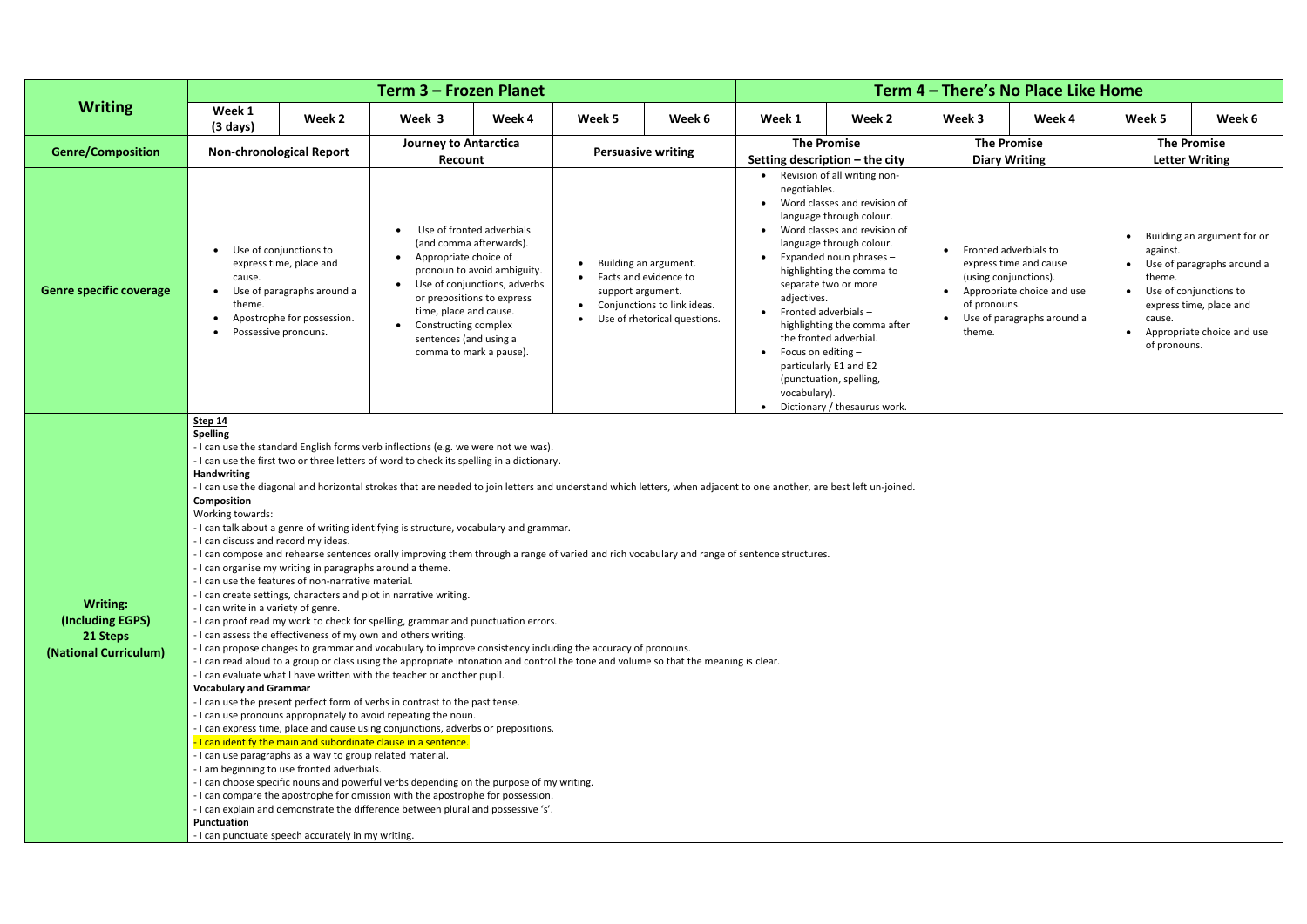|                                                                          |                                                                                                                                                                                                                            |                                                                                                                                                                                                                                                                                     | <b>Term 3 - Frozen Planet</b>                                                                                                                                                                                                                                                                                                                                                                                                                                                                                                                                                                                                                                                                                                                                                                                                                                                                                                                                                                                                                                                                                                                                                                                                                                                                                                                                                                                                                                                                                                                                                                                                                                                                                                                       |                                                                                           |                   | Term 4 – There's No Place Like Home                                                                           |                                                                   |                                                                                                                                                                                                                                                                                                                                                                                                            |                                                                                              |                                                                                    |                                              |                                                                                                                                              |  |  |
|--------------------------------------------------------------------------|----------------------------------------------------------------------------------------------------------------------------------------------------------------------------------------------------------------------------|-------------------------------------------------------------------------------------------------------------------------------------------------------------------------------------------------------------------------------------------------------------------------------------|-----------------------------------------------------------------------------------------------------------------------------------------------------------------------------------------------------------------------------------------------------------------------------------------------------------------------------------------------------------------------------------------------------------------------------------------------------------------------------------------------------------------------------------------------------------------------------------------------------------------------------------------------------------------------------------------------------------------------------------------------------------------------------------------------------------------------------------------------------------------------------------------------------------------------------------------------------------------------------------------------------------------------------------------------------------------------------------------------------------------------------------------------------------------------------------------------------------------------------------------------------------------------------------------------------------------------------------------------------------------------------------------------------------------------------------------------------------------------------------------------------------------------------------------------------------------------------------------------------------------------------------------------------------------------------------------------------------------------------------------------------|-------------------------------------------------------------------------------------------|-------------------|---------------------------------------------------------------------------------------------------------------|-------------------------------------------------------------------|------------------------------------------------------------------------------------------------------------------------------------------------------------------------------------------------------------------------------------------------------------------------------------------------------------------------------------------------------------------------------------------------------------|----------------------------------------------------------------------------------------------|------------------------------------------------------------------------------------|----------------------------------------------|----------------------------------------------------------------------------------------------------------------------------------------------|--|--|
| <b>Writing</b>                                                           | Week 1<br>$(3 \text{ days})$                                                                                                                                                                                               | Week 2                                                                                                                                                                                                                                                                              |                                                                                                                                                                                                                                                                                                                                                                                                                                                                                                                                                                                                                                                                                                                                                                                                                                                                                                                                                                                                                                                                                                                                                                                                                                                                                                                                                                                                                                                                                                                                                                                                                                                                                                                                                     | Week 4                                                                                    | Week 5            | Week 6                                                                                                        | Week 1                                                            | Week 2                                                                                                                                                                                                                                                                                                                                                                                                     | Week 3                                                                                       | Week 4                                                                             | Week 5                                       | Week 6                                                                                                                                       |  |  |
| <b>Genre/Composition</b>                                                 |                                                                                                                                                                                                                            | <b>Non-chronological Report</b>                                                                                                                                                                                                                                                     | <b>Journey to Antarctica</b><br>Recount                                                                                                                                                                                                                                                                                                                                                                                                                                                                                                                                                                                                                                                                                                                                                                                                                                                                                                                                                                                                                                                                                                                                                                                                                                                                                                                                                                                                                                                                                                                                                                                                                                                                                                             |                                                                                           |                   | <b>Persuasive writing</b>                                                                                     |                                                                   | <b>The Promise</b><br>Setting description $-$ the city                                                                                                                                                                                                                                                                                                                                                     | <b>The Promise</b><br><b>Diary Writing</b>                                                   |                                                                                    | <b>The Promise</b>                           | <b>Letter Writing</b>                                                                                                                        |  |  |
| <b>Genre specific coverage</b>                                           | cause.<br>theme.<br>$\bullet$                                                                                                                                                                                              | Use of conjunctions to<br>express time, place and<br>Use of paragraphs around a<br>Apostrophe for possession.<br>Possessive pronouns.                                                                                                                                               | Use of fronted adverbials<br>(and comma afterwards).<br>Appropriate choice of<br>time, place and cause.<br>Constructing complex<br>sentences (and using a<br>comma to mark a pause).                                                                                                                                                                                                                                                                                                                                                                                                                                                                                                                                                                                                                                                                                                                                                                                                                                                                                                                                                                                                                                                                                                                                                                                                                                                                                                                                                                                                                                                                                                                                                                | pronoun to avoid ambiguity.<br>Use of conjunctions, adverbs<br>or prepositions to express | support argument. | Building an argument.<br>Facts and evidence to<br>Conjunctions to link ideas.<br>Use of rhetorical questions. | negotiables.<br>adjectives.<br>Focus on editing -<br>vocabulary). | Revision of all writing non-<br>Word classes and revision of<br>language through colour.<br>Word classes and revision of<br>language through colour.<br>Expanded noun phrases -<br>highlighting the comma to<br>separate two or more<br>Fronted adverbials-<br>highlighting the comma after<br>the fronted adverbial.<br>particularly E1 and E2<br>(punctuation, spelling,<br>Dictionary / thesaurus work. | <b>Fronted adverbials to</b><br>(using conjunctions).<br>$\bullet$<br>of pronouns.<br>theme. | express time and cause<br>Appropriate choice and use<br>Use of paragraphs around a | against.<br>theme.<br>cause.<br>of pronouns. | Building an argument for or<br>Use of paragraphs around a<br>Use of conjunctions to<br>express time, place and<br>Appropriate choice and use |  |  |
| <b>Writing:</b><br>(Including EGPS)<br>21 Steps<br>(National Curriculum) | <b>Step 14</b><br><b>Spelling</b><br><b>Handwriting</b><br>Composition<br>Working towards:<br>- I can discuss and record my ideas.<br>- I can write in a variety of genre.<br><b>Vocabulary and Grammar</b><br>Punctuation | - I can organise my writing in paragraphs around a theme.<br>- I can use the features of non-narrative material.<br>- I can use paragraphs as a way to group related material.<br>- I am beginning to use fronted adverbials.<br>- I can punctuate speech accurately in my writing. | - I can use the standard English forms verb inflections (e.g. we were not we was).<br>- I can use the first two or three letters of word to check its spelling in a dictionary.<br>- I can use the diagonal and horizontal strokes that are needed to join letters and understand which letters, when adjacent to one another, are best left un-joined.<br>- I can talk about a genre of writing identifying is structure, vocabulary and grammar.<br>- I can compose and rehearse sentences orally improving them through a range of varied and rich vocabulary and range of sentence structures.<br>- I can create settings, characters and plot in narrative writing.<br>- I can proof read my work to check for spelling, grammar and punctuation errors.<br>- I can assess the effectiveness of my own and others writing.<br>- I can propose changes to grammar and vocabulary to improve consistency including the accuracy of pronouns.<br>- I can read aloud to a group or class using the appropriate intonation and control the tone and volume so that the meaning is clear.<br>- I can evaluate what I have written with the teacher or another pupil.<br>- I can use the present perfect form of verbs in contrast to the past tense.<br>- I can use pronouns appropriately to avoid repeating the noun.<br>- I can express time, place and cause using conjunctions, adverbs or prepositions.<br>- I can identify the main and subordinate clause in a sentence.<br>- I can choose specific nouns and powerful verbs depending on the purpose of my writing.<br>- I can compare the apostrophe for omission with the apostrophe for possession.<br>- I can explain and demonstrate the difference between plural and possessive 's'. |                                                                                           |                   |                                                                                                               |                                                                   |                                                                                                                                                                                                                                                                                                                                                                                                            |                                                                                              |                                                                                    |                                              |                                                                                                                                              |  |  |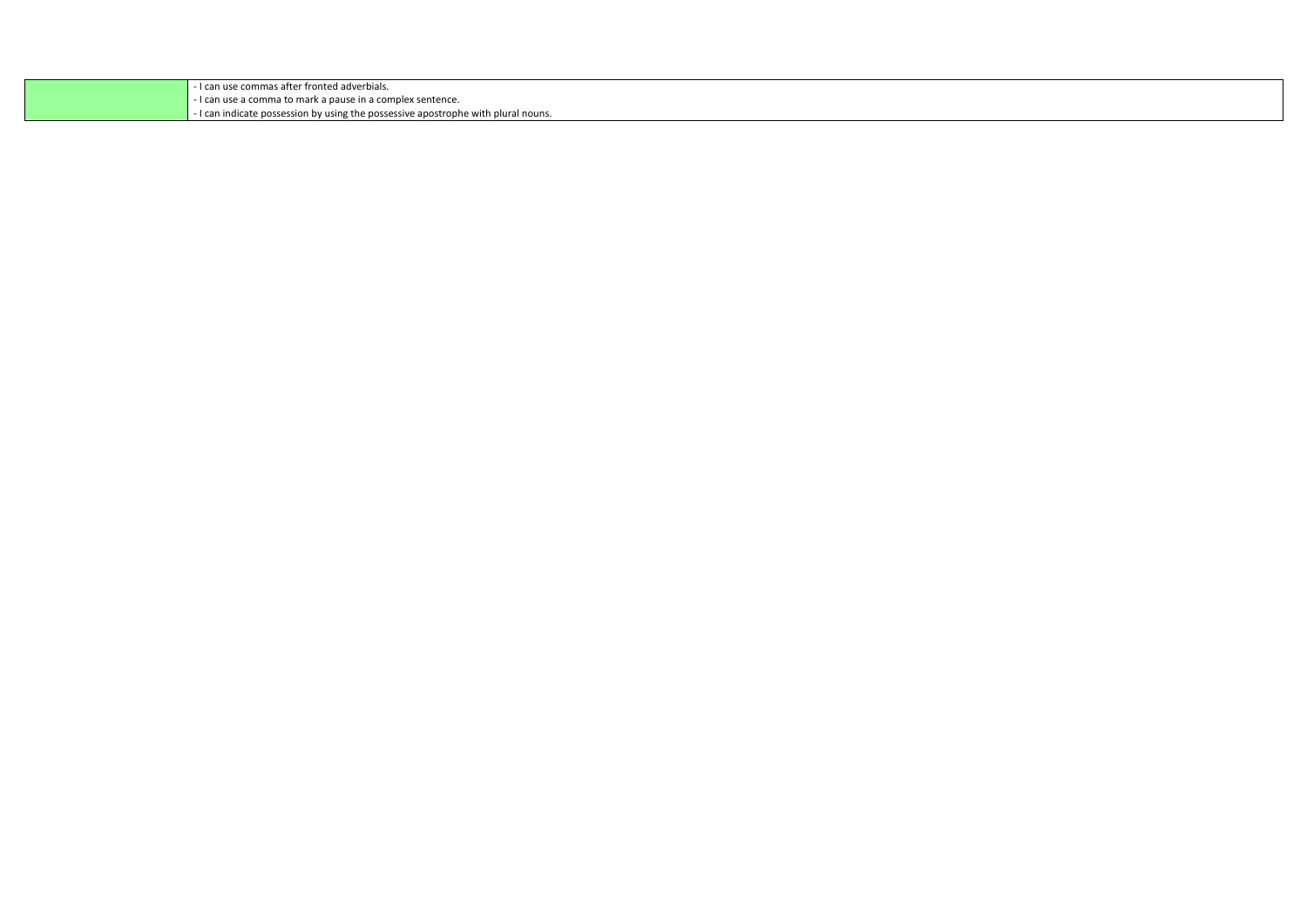| ! can use commas after fronted adverbials.                                      |
|---------------------------------------------------------------------------------|
| I can use a comma to mark a pause in a complex sentence.                        |
| I can indicate possession by using the possessive apostrophe with plural nouns. |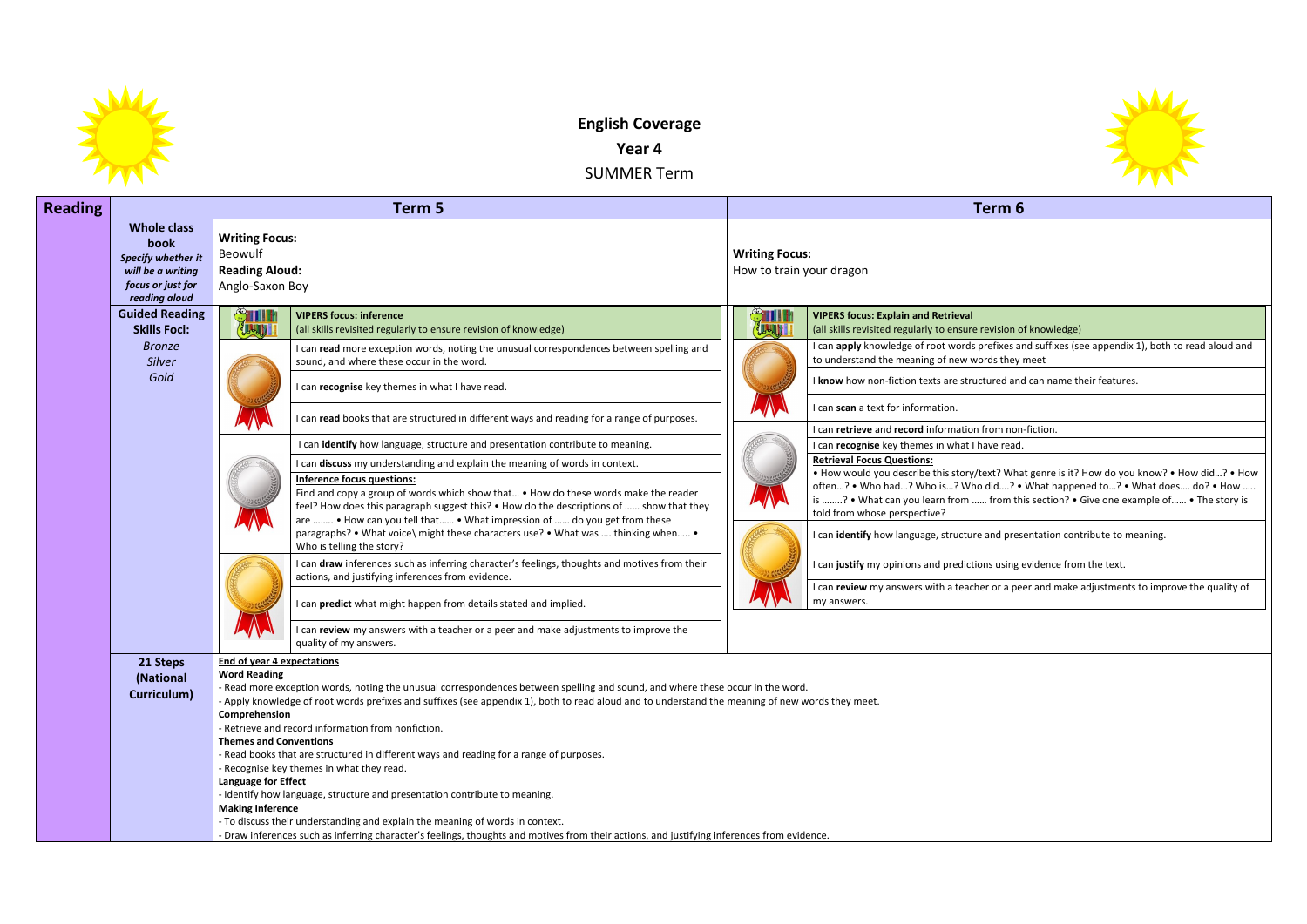

# **English Coverage**

**Year 4**

SUMMER Term

| <b>Reading</b> |                                                                                                             |                                                                                                                                                              | Term 5                                                                                                                                                                                                                                                                                                                                                                                                                                                                                                                                                                                                                                                                                                                                                                                                                                                                                                                                                                                                                                                                                                                                                                                                                                                                                                                           |                                                   | Term 6                                                                                                                                                                                                                                                                                                                                                                                                                                                                                                                                                                                                                                                                                                                                                                             |
|----------------|-------------------------------------------------------------------------------------------------------------|--------------------------------------------------------------------------------------------------------------------------------------------------------------|----------------------------------------------------------------------------------------------------------------------------------------------------------------------------------------------------------------------------------------------------------------------------------------------------------------------------------------------------------------------------------------------------------------------------------------------------------------------------------------------------------------------------------------------------------------------------------------------------------------------------------------------------------------------------------------------------------------------------------------------------------------------------------------------------------------------------------------------------------------------------------------------------------------------------------------------------------------------------------------------------------------------------------------------------------------------------------------------------------------------------------------------------------------------------------------------------------------------------------------------------------------------------------------------------------------------------------|---------------------------------------------------|------------------------------------------------------------------------------------------------------------------------------------------------------------------------------------------------------------------------------------------------------------------------------------------------------------------------------------------------------------------------------------------------------------------------------------------------------------------------------------------------------------------------------------------------------------------------------------------------------------------------------------------------------------------------------------------------------------------------------------------------------------------------------------|
|                | <b>Whole class</b><br>book<br>Specify whether it<br>will be a writing<br>focus or just for<br>reading aloud | <b>Writing Focus:</b><br>Beowulf<br><b>Reading Aloud:</b><br>Anglo-Saxon Boy                                                                                 |                                                                                                                                                                                                                                                                                                                                                                                                                                                                                                                                                                                                                                                                                                                                                                                                                                                                                                                                                                                                                                                                                                                                                                                                                                                                                                                                  | <b>Writing Focus:</b><br>How to train your dragon |                                                                                                                                                                                                                                                                                                                                                                                                                                                                                                                                                                                                                                                                                                                                                                                    |
|                | <b>Guided Reading</b><br><b>Skills Foci:</b><br><b>Bronze</b><br>Silver<br>Gold                             | IIII<br>JU-JV                                                                                                                                                | <b>VIPERS focus: inference</b><br>(all skills revisited regularly to ensure revision of knowledge)<br>I can read more exception words, noting the unusual correspondences between spelling and<br>sound, and where these occur in the word.<br>I can recognise key themes in what I have read.<br>I can read books that are structured in different ways and reading for a range of purposes.<br>I can identify how language, structure and presentation contribute to meaning.<br>I can discuss my understanding and explain the meaning of words in context.<br><b>Inference focus questions:</b><br>Find and copy a group of words which show that • How do these words make the reader<br>feel? How does this paragraph suggest this? • How do the descriptions of  show that they<br>are  • How can you tell that • What impression of  do you get from these<br>paragraphs? • What voice\ might these characters use? • What was  thinking when •<br>Who is telling the story?<br>I can draw inferences such as inferring character's feelings, thoughts and motives from their<br>actions, and justifying inferences from evidence.<br>I can predict what might happen from details stated and implied.<br>I can review my answers with a teacher or a peer and make adjustments to improve the<br>quality of my answers. | <b>STILL!</b><br><b>JUSTIN 1</b>                  | <b>VIPERS focus: Explain and Retrieval</b><br>(all skills revisited regularly to ensure revision o<br>I can apply knowledge of root words prefixes ar<br>to understand the meaning of new words they<br>I know how non-fiction texts are structured and<br>I can scan a text for information.<br>I can retrieve and record information from non<br>I can recognise key themes in what I have read.<br><b>Retrieval Focus Questions:</b><br>. How would you describe this story/text? Wha<br>often? . Who had? Who is? Who did? .<br>is ? • What can you learn from  from th<br>told from whose perspective?<br>I can identify how language, structure and pres<br>I can justify my opinions and predictions using<br>I can review my answers with a teacher or a pe<br>my answers. |
|                | 21 Steps<br>(National<br>Curriculum)                                                                        | <b>End of year 4 expectations</b><br><b>Word Reading</b><br>Comprehension<br><b>Themes and Conventions</b><br>Language for Effect<br><b>Making Inference</b> | - Read more exception words, noting the unusual correspondences between spelling and sound, and where these occur in the word.<br>- Apply knowledge of root words prefixes and suffixes (see appendix 1), both to read aloud and to understand the meaning of new words they meet.<br>- Retrieve and record information from nonfiction.<br>- Read books that are structured in different ways and reading for a range of purposes.<br>- Recognise key themes in what they read.<br>- Identify how language, structure and presentation contribute to meaning.<br>- To discuss their understanding and explain the meaning of words in context.<br>- Draw inferences such as inferring character's feelings, thoughts and motives from their actions, and justifying inferences from evidence.                                                                                                                                                                                                                                                                                                                                                                                                                                                                                                                                   |                                                   |                                                                                                                                                                                                                                                                                                                                                                                                                                                                                                                                                                                                                                                                                                                                                                                    |



vision of knowledge)

refixes and suffixes (see appendix 1), both to read aloud and ds they meet

ured and can name their features.

rom non-fiction. **I** ve read.

\*xt? What genre is it? How do you know? • How did...? • How did….? • What happened to…? • What does…. do? • How ….. from this section? • Give one example of…… • The story is

I and presentation contribute to meaning.

Is using evidence from the text.

**r** or a peer and make adjustments to improve the quality of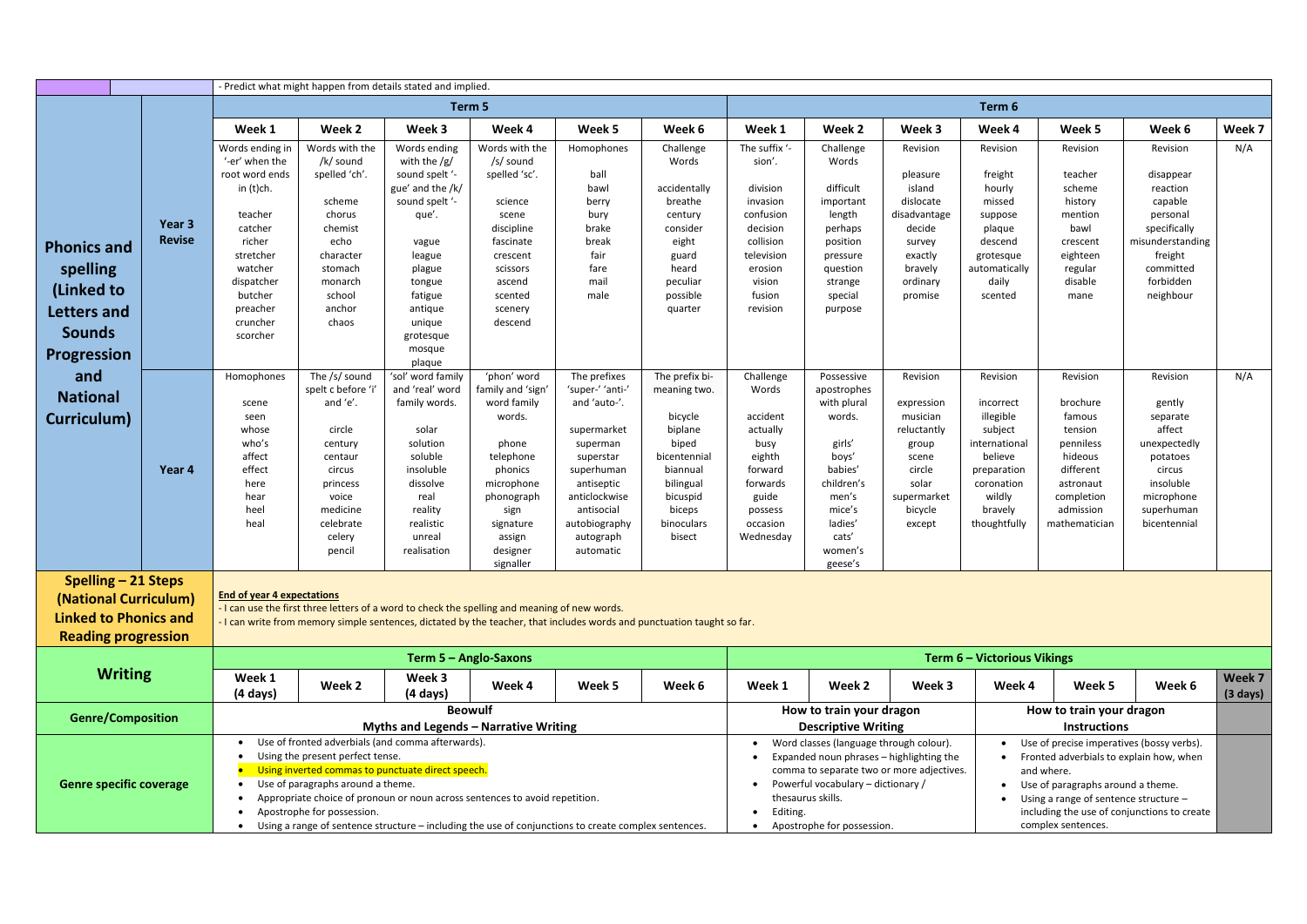|                    |                                | - Predict what might happen from details stated and implied |                                   |                                                   |                                                                                                                         |                          |                       |                         |                                         |                                           |                             |                                         |                                             |                              |
|--------------------|--------------------------------|-------------------------------------------------------------|-----------------------------------|---------------------------------------------------|-------------------------------------------------------------------------------------------------------------------------|--------------------------|-----------------------|-------------------------|-----------------------------------------|-------------------------------------------|-----------------------------|-----------------------------------------|---------------------------------------------|------------------------------|
|                    |                                |                                                             |                                   |                                                   | Term 5                                                                                                                  |                          |                       |                         |                                         |                                           | Term 6                      |                                         |                                             |                              |
|                    |                                | Week 1                                                      | Week 2                            | Week 3                                            | Week 4                                                                                                                  | Week 5                   | Week 6                | Week 1                  | Week 2                                  | Week 3                                    | Week 4                      | Week 5                                  | Week 6                                      | Week 7                       |
|                    |                                | Words ending in<br>'-er' when the                           | Words with the<br>/k/ sound       | Words ending<br>with the $/g/$                    | Words with the<br>/s/ sound                                                                                             | Homophones               | Challenge<br>Words    | The suffix '-<br>sion'. | Challenge<br>Words                      | Revision                                  | Revision                    | Revision                                | Revision                                    | N/A                          |
|                    |                                | root word ends<br>in (t)ch.                                 | spelled 'ch'.                     | sound spelt '-<br>gue' and the /k/                | spelled 'sc'.                                                                                                           | ball<br>bawl             | accidentally          | division                | difficult                               | pleasure<br>island                        | freight<br>hourly           | teacher<br>scheme                       | disappear<br>reaction                       |                              |
|                    |                                | teacher                                                     | scheme<br>chorus                  | sound spelt '-<br>que'.                           | science<br>scene                                                                                                        | berry<br>bury            | breathe<br>century    | invasion<br>confusion   | important<br>length                     | dislocate<br>disadvantage                 | missed<br>suppose           | history<br>mention                      | capable<br>personal                         |                              |
|                    | Year 3<br><b>Revise</b>        | catcher<br>richer                                           | chemist<br>echo                   | vague                                             | discipline<br>fascinate                                                                                                 | brake<br>break           | consider<br>eight     | decision<br>collision   | perhaps<br>position                     | decide<br>survey                          | plaque<br>descend           | bawl<br>crescent                        | specifically<br>misunderstanding            |                              |
| <b>Phonics and</b> |                                | stretcher                                                   | character                         | league                                            | crescent                                                                                                                | fair                     | guard                 | television              | pressure                                | exactly                                   | grotesque                   | eighteen                                | freight                                     |                              |
| spelling           |                                | watcher                                                     | stomach                           | plague                                            | scissors                                                                                                                | fare                     | heard                 | erosion                 | question                                | bravely                                   | automatically               | regular                                 | committed                                   |                              |
|                    |                                | dispatcher                                                  | monarch                           | tongue                                            | ascend                                                                                                                  | mail                     | peculiar              | vision                  | strange                                 | ordinary                                  | daily                       | disable                                 | forbidden                                   |                              |
| (Linked to         |                                | butcher                                                     | school                            | fatigue                                           | scented                                                                                                                 | male                     | possible              | fusion                  | special                                 | promise                                   | scented                     | mane                                    | neighbour                                   |                              |
| Letters and        |                                | preacher                                                    | anchor                            | antique                                           | scenery                                                                                                                 |                          | quarter               | revision                | purpose                                 |                                           |                             |                                         |                                             |                              |
| <b>Sounds</b>      |                                | cruncher                                                    | chaos                             | unique                                            | descend                                                                                                                 |                          |                       |                         |                                         |                                           |                             |                                         |                                             |                              |
|                    |                                | scorcher                                                    |                                   | grotesque                                         |                                                                                                                         |                          |                       |                         |                                         |                                           |                             |                                         |                                             |                              |
| <b>Progression</b> |                                |                                                             |                                   | mosque<br>plaque                                  |                                                                                                                         |                          |                       |                         |                                         |                                           |                             |                                         |                                             |                              |
| and                |                                | Homophones                                                  | The /s/ sound                     | 'sol' word family                                 | 'phon' word                                                                                                             | The prefixes             | The prefix bi-        | Challenge               | Possessive                              | Revision                                  | Revision                    | Revision                                | Revision                                    | N/A                          |
|                    |                                |                                                             | spelt c before 'i'                | and 'real' word                                   | family and 'sign                                                                                                        | 'super-' 'anti-'         | meaning two.          | Words                   | apostrophes                             |                                           |                             |                                         |                                             |                              |
| <b>National</b>    |                                | scene                                                       | and 'e'.                          | family words.                                     | word family                                                                                                             | and 'auto-'.             |                       |                         | with plural                             | expression                                | incorrect                   | brochure                                | gently                                      |                              |
| Curriculum)        |                                | seen                                                        |                                   |                                                   | words.                                                                                                                  |                          | bicycle               | accident                | words.                                  | musician                                  | illegible                   | famous                                  | separate                                    |                              |
|                    |                                | whose                                                       | circle                            | solar                                             |                                                                                                                         | supermarket              | biplane               | actually                |                                         | reluctantly                               | subject                     | tension                                 | affect                                      |                              |
|                    |                                | who's                                                       | century                           | solution                                          | phone                                                                                                                   | superman                 | biped                 | busy                    | girls'                                  | group                                     | international               | penniless                               | unexpectedly                                |                              |
|                    | Year 4                         | affect<br>effect                                            | centaur                           | soluble<br>insoluble                              | telephone<br>phonics                                                                                                    | superstar                | bicentennial          | eighth<br>forward       | boys'<br>babies'                        | scene<br>circle                           | believe                     | hideous<br>different                    | potatoes                                    |                              |
|                    |                                | here                                                        | circus<br>princess                | dissolve                                          | microphone                                                                                                              | superhuman<br>antiseptic | biannual<br>bilingual | forwards                | children's                              | solar                                     | preparation<br>coronation   | astronaut                               | circus<br>insoluble                         |                              |
|                    |                                | hear                                                        | voice                             | real                                              | phonograph                                                                                                              | anticlockwise            | bicuspid              | guide                   | men's                                   | supermarket                               | wildly                      | completion                              | microphone                                  |                              |
|                    |                                | heel                                                        | medicine                          | reality                                           | sign                                                                                                                    | antisocial               | biceps                | possess                 | mice's                                  | bicycle                                   | bravely                     | admission                               | superhuman                                  |                              |
|                    |                                | heal                                                        | celebrate                         | realistic                                         | signature                                                                                                               | autobiography            | binoculars            | occasion                | ladies'                                 | except                                    | thoughtfully                | mathematician                           | bicentennial                                |                              |
|                    |                                |                                                             | celery                            | unreal                                            | assign                                                                                                                  | autograph                | bisect                | Wednesday               | cats'                                   |                                           |                             |                                         |                                             |                              |
|                    |                                |                                                             | pencil                            | realisation                                       | designer                                                                                                                | automatic                |                       |                         | women's                                 |                                           |                             |                                         |                                             |                              |
|                    |                                |                                                             |                                   |                                                   | signaller                                                                                                               |                          |                       |                         | geese's                                 |                                           |                             |                                         |                                             |                              |
|                    | Spelling – 21 Steps            |                                                             |                                   |                                                   |                                                                                                                         |                          |                       |                         |                                         |                                           |                             |                                         |                                             |                              |
|                    | (National Curriculum)          | <b>End of year 4 expectations</b>                           |                                   |                                                   | - I can use the first three letters of a word to check the spelling and meaning of new words.                           |                          |                       |                         |                                         |                                           |                             |                                         |                                             |                              |
|                    | <b>Linked to Phonics and</b>   |                                                             |                                   |                                                   | - I can write from memory simple sentences, dictated by the teacher, that includes words and punctuation taught so far. |                          |                       |                         |                                         |                                           |                             |                                         |                                             |                              |
|                    | <b>Reading progression</b>     |                                                             |                                   |                                                   |                                                                                                                         |                          |                       |                         |                                         |                                           |                             |                                         |                                             |                              |
|                    |                                |                                                             |                                   |                                                   | Term 5 - Anglo-Saxons                                                                                                   |                          |                       |                         |                                         |                                           | Term 6 - Victorious Vikings |                                         |                                             |                              |
|                    | <b>Writing</b>                 | Week 1<br>$(4 \text{ days})$                                | Week 2                            | Week 3<br>$(4 \text{ days})$                      | Week 4                                                                                                                  | Week 5                   | Week 6                | Week 1                  | Week 2                                  | Week 3                                    | Week 4                      | Week 5                                  | Week 6                                      | Week 7<br>$(3 \text{ days})$ |
|                    |                                |                                                             |                                   |                                                   | <b>Beowulf</b>                                                                                                          |                          |                       |                         | How to train your dragon                |                                           |                             | How to train your dragon                |                                             |                              |
|                    | <b>Genre/Composition</b>       |                                                             |                                   |                                                   | <b>Myths and Legends - Narrative Writing</b>                                                                            |                          |                       |                         | <b>Descriptive Writing</b>              |                                           |                             | <b>Instructions</b>                     |                                             |                              |
|                    |                                | $\bullet$                                                   |                                   | Use of fronted adverbials (and comma afterwards). |                                                                                                                         |                          |                       |                         | Word classes (language through colour). |                                           |                             |                                         | Use of precise imperatives (bossy verbs).   |                              |
|                    |                                |                                                             | Using the present perfect tense.  |                                                   |                                                                                                                         |                          |                       |                         |                                         | Expanded noun phrases - highlighting the  |                             | Fronted adverbials to explain how, when |                                             |                              |
|                    |                                |                                                             |                                   | Using inverted commas to punctuate direct speech. |                                                                                                                         |                          |                       |                         |                                         | comma to separate two or more adjectives. |                             | and where.                              |                                             |                              |
|                    | <b>Genre specific coverage</b> | $\bullet$                                                   | Use of paragraphs around a theme. |                                                   |                                                                                                                         |                          |                       |                         | Powerful vocabulary - dictionary /      |                                           |                             | Use of paragraphs around a theme.       |                                             |                              |
|                    |                                | ٠                                                           |                                   |                                                   | Appropriate choice of pronoun or noun across sentences to avoid repetition.                                             |                          |                       |                         | thesaurus skills.                       |                                           |                             | Using a range of sentence structure -   |                                             |                              |
|                    |                                |                                                             | Apostrophe for possession.        |                                                   |                                                                                                                         |                          |                       | Editing.<br>$\bullet$   |                                         |                                           |                             |                                         | including the use of conjunctions to create |                              |
|                    |                                |                                                             |                                   |                                                   | Using a range of sentence structure - including the use of conjunctions to create complex sentences.                    |                          |                       |                         | Apostrophe for possession.              |                                           |                             | complex sentences.                      |                                             |                              |